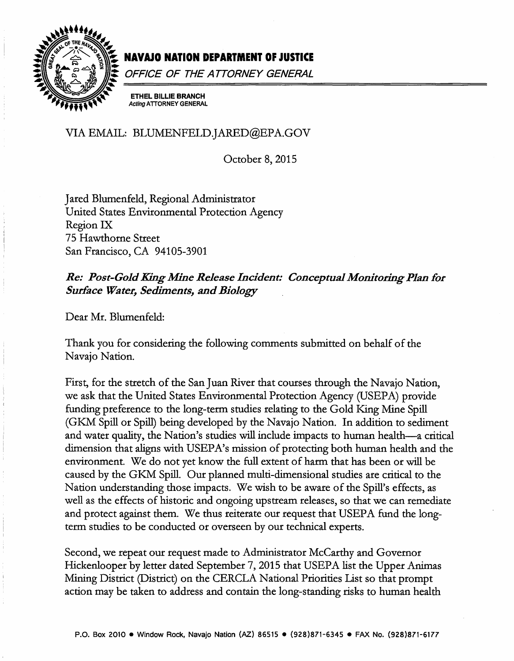

# NAVAJO NATION DEPARTMENT OF JUSTICE

OFFICE OF THE ATTORNEY GENERAL

**ETHEL BILLIE BRANCH Acting ATTORNEY GENERAL** 

VIA EMAIL: BLUMENFELD.JARED@EPA.GOV

October 8, 2015

Jared Blumenfeld, Regional Administrator United States Environmental Protection Agency Region IX 75 Hawthorne Street San Francisco, CA 94105-3901

Re: Post-Gold King Mine Release Incident: Conceptual Monitoring Plan for **Surface Water, Sediments, and Biology** 

Dear Mr. Blumenfeld:

Thank you for considering the following comments submitted on behalf of the Navajo Nation.

First, for the stretch of the San Juan River that courses through the Navajo Nation, we ask that the United States Environmental Protection Agency (USEPA) provide funding preference to the long-term studies relating to the Gold King Mine Spill (GKM Spill or Spill) being developed by the Navajo Nation. In addition to sediment and water quality, the Nation's studies will include impacts to human health—a critical dimension that aligns with USEPA's mission of protecting both human health and the environment. We do not yet know the full extent of harm that has been or will be caused by the GKM Spill. Our planned multi-dimensional studies are critical to the Nation understanding those impacts. We wish to be aware of the Spill's effects, as well as the effects of historic and ongoing upstream releases, so that we can remediate and protect against them. We thus reiterate our request that USEPA fund the longterm studies to be conducted or overseen by our technical experts.

Second, we repeat our request made to Administrator McCarthy and Governor Hickenlooper by letter dated September 7, 2015 that USEPA list the Upper Animas Mining District (District) on the CERCLA National Priorities List so that prompt action may be taken to address and contain the long-standing risks to human health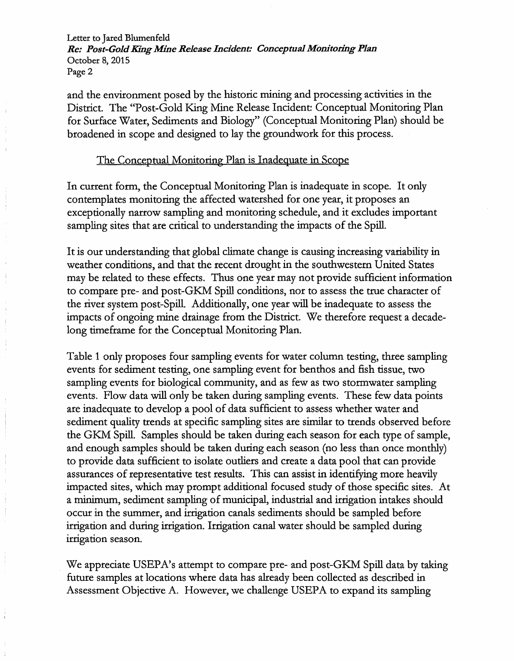Letter to Jared Blumenfeld *Re: Post-Gold King Mine Release Incident: Conceptual Monitoring Plan*  October 8, 2015 Page 2

and the environment posed by the historic mining and processing activities in the District. The "Post-Gold King Mine Release Incident: Conceptual Monitoring Plan for Surface Water, Sediments and Biology" (Conceptual Monitoring Plan) should be broadened in scope and designed to lay the groundwork for this process.

## The Conceptual Monitoring Plan is Inadequate in Scope

In current form, the Conceptual Monitoring Plan is inadequate in scope. It only contemplates monitoring the affected watershed for one year, it proposes an exceptionally narrow sampling and monitoring schedule, and it excludes important sampling sites that are critical to understanding the impacts of the Spill.

It is our understanding that global climate change is causing increasing variability in weather conditions, and that the recent drought in the southwestern United States may be related to these effects. Thus one year may not provide sufficient information to compare pre- and post-GKM Spill conditions, nor to assess the true character of the river system post-Spill. Additionally, one year will be inadequate to assess the impacts of ongoing mine drainage from the District. We therefore request a decadelong timeframe for the Conceptual Monitoring Plan.

Table 1 only proposes four sampling events for water column testing, three sampling events for sediment testing, one sampling event for benthos and fish tissue, two sampling events for biological community, and as few as two stormwater sampling events. Flow data will only be taken during sampling events. These few data points are inadequate to develop a pool of data sufficient to assess whether water and sediment quality trends at specific sampling sites are similar to trends observed before the GKM Spill. Samples should be taken during each season for each type of sample, and enough samples should be taken during each season (no less than once monthly) to provide data sufficient to isolate outliers and create a data pool that can provide assurances of representative test results. This can assist in identifying more heavily impacted sites, which may prompt additional focused study of those specific sites. At a minimum, sediment sampling of municipal, industrial and irrigation intakes should occur in the summer, and irrigation canals sediments should be sampled before irrigation and during irrigation. Irrigation canal water should be sampled during irrigation season.

We appreciate USEPA's attempt to compare pre- and post-GKM Spill data by taking future samples at locations where data has already been collected as described in Assessment Objective A. However, we challenge USEPA to expand its sampling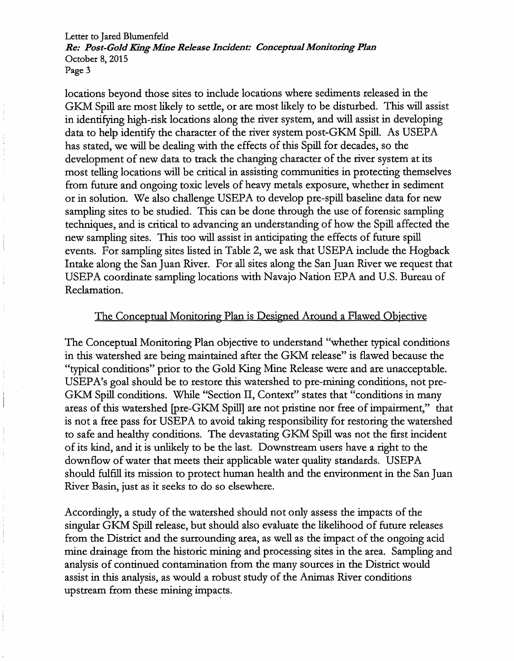Letter to Jared Blumenfeld *Re: Post-Gold King Mine Release Incident: Conceptual Monitoring Plan*  October 8, 2015 Page 3

locations beyond those sites to include locations where sediments released in the GKM Spill are most likely to settle, or are most likely to be disturbed. This will assist in identifying high-risk locations along the river system, and will assist in developing data to help identify the character of the river system post-GKM Spill. As USEPA has stated, we will be dealing with the effects of this Spill for decades, so the development of new data to track the changing character of the river system at its most telling locations will be critical in assisting communities in protecting themselves from future and ongoing toxic levels of heavy metals exposure, whether in sediment or in solution. We also challenge USEPA to develop pre-spill baseline data for new sampling sites to be studied. This can be done through the use of forensic sampling techniques, and is critical to advancing an understanding of how the Spill affected the new sampling sites. This too will assist in anticipating the effects of future spill events. For sampling sites listed in Table 2, we ask that USEPA include the Hogback Intake along the San Juan River. For all sites along the San Juan River we request that USEPA coordinate sampling locations with Navajo Nation EPA and U.S. Bureau of Reclamation.

## The Conceptual Monitoring Plan is Designed Around a Flawed Objective

The Conceptual Monitoring Plan objective to understand "whether typical conditions in this watershed are being maintained after the GKM release" is flawed because the "typical conditions" prior to the Gold King Mine Release were and are unacceptable. USEPA's goal should be to restore this watershed to pre-mining conditions, not pre-GKM Spill conditions. While "Section II, Context" states that "conditions in many areas of this watershed [pre-GKM Spill] are not pristine nor free of impairment," that is not a free pass for USEPA to avoid taking responsibility for restoring the watershed to safe and healthy conditions. The devastating GKM Spill was not the first incident of its kind, and it is unlikely to be the last. Downstream users have a right to the downflow of water that meets their applicable water quality standards. USEPA should fulfill its mission to protect human health and the environment in the San Juan River Basin, just as it seeks to do so elsewhere.

Accordingly, a study of the watershed should not only assess the impacts of the singular GI<M Spill release, but should also evaluate the likelihood of future releases from the District and the surrounding area, as well as the impact of the ongoing acid mine drainage from the historic mining and processing sites in the area. Sampling and analysis of continued contamination from the many sources in the District would assist in this analysis, as would a robust study of the Animas River conditions upstream from these mining impacts.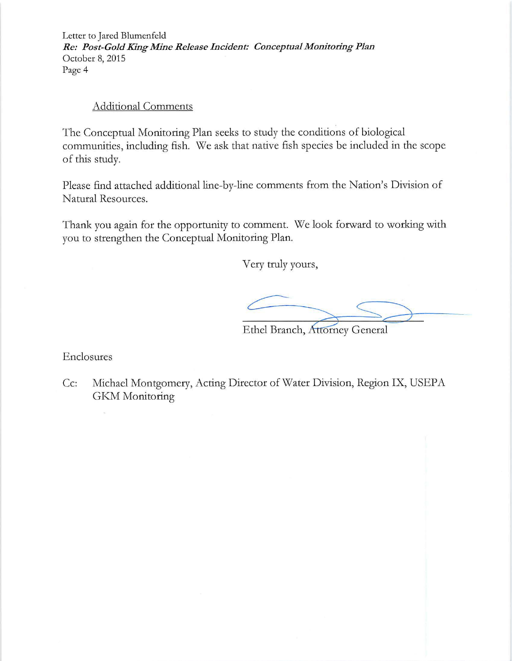Letter to Jared Blumenfeld *Re: Post-GoldKing Mine Release Incident: Conceptual Monitoring Plan*  October 8, 2015 Page 4

## Additional Comments

The Conceptual Monitoring Plan seeks to study the conditions of biological communities, including fish. We ask that native fish species be included in the scope of this study.

Please find attached additional line-by-line comments from the Nation's Division of Natural Resources.

Thank you again for the opportunity to comment. We look forward to working with you to strengthen the Conceptual Monitoring Plan.

Very truly yours,

 $\searrow$ 

Ethel Branch, Attorney General

Enclosures

Cc: Michael Montgomery, Acting Director of Water Division, Region IX, USEPA GKM Monitoring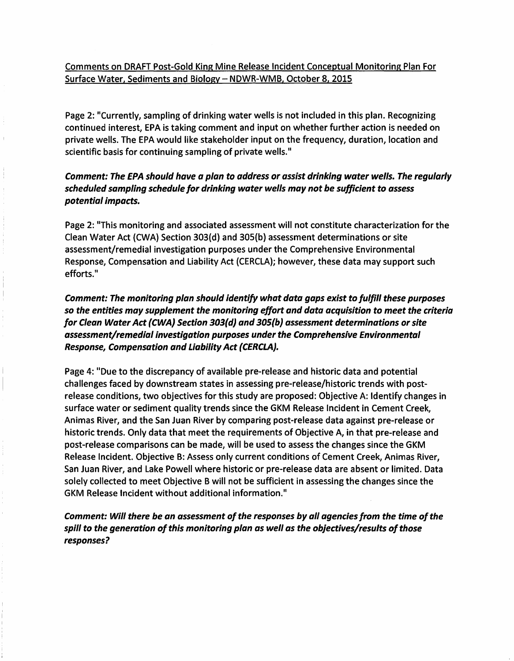Comments on DRAFT Post-Gold King Mine Release Incident Conceptual Monitoring Plan For Surface Water, Sediments and Biology- NDWR-WMB, October 8, 2015

Page 2: "Currently, sampling of drinking water wells is not included in this plan. Recognizing continued interest, EPA is taking comment and input on whether further action is needed on private wells. The EPA would like stakeholder input on the frequency, duration, location and scientific basis for continuing sampling of private wells."

## *Comment: The EPA should have a plan* to *address or assist drinking water wells. The regularly scheduled sampling schedule for drinking water wells may not be sufficient to assess potential impacts.*

Page 2: "This monitoring and associated assessment will not constitute characterization for the Clean Water Act (CWA) Section 303{d) and 305{b) assessment determinations or site assessment/remedial investigation purposes under the Comprehensive Environmental Response, Compensation and Liability Act {CERCLA); however, these data may support such efforts."

*Comment: The monitoring plan should identify what data gaps exist to fulfill these purposes so the entities may supplement the monitoring effort and data acquisition to meet the criteria for Clean Water Act {CWA) Section 303{d) and 305(b) assessment determinations or site assessment/remedial investigation purposes under the Comprehensive Environmental Response, Compensation and Liability Act {CERCLA).* 

Page 4: "Due to the discrepancy of available pre-release and historic data and potential challenges faced by downstream states in assessing pre-release/historic trends with postrelease conditions, two objectives for this study are proposed: Objective A: Identify changes in surface water or sediment quality trends since the GKM Release Incident in Cement Creek, Animas River, and the San Juan River by comparing post-release data against pre-release or historic trends. Only data that meet the requirements of Objective A, in that pre-release and post-release comparisons can be made, will be used to assess the changes since the GKM Release Incident. Objective B: Assess only current conditions of Cement Creek, Animas River, San Juan River, and Lake Powell where historic or pre-release data are absent or limited. Data solely collected to meet Objective B will not be sufficient in assessing the changes since the GKM Release Incident without additional information."

*Comment: Will there be an assessment of the responses by all agencies from the time of the* spill to the generation of this monitoring plan as well as the objectives/results of those *responses?*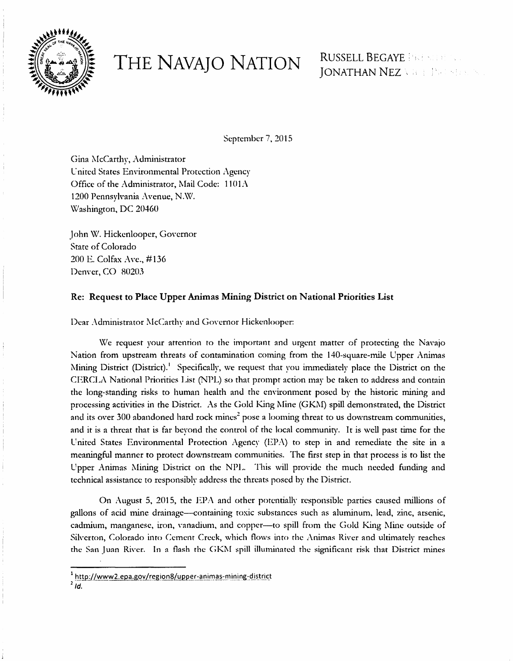

THE NAVAJO NATION RUSSELL BEGAYE ERE STREAMENT AND NON-

September 7, 2015

Gina McCarthy, Administrator United States Environmental Protection Agency Office of the Administrator, Mail Code:  $1101\Lambda$ 1200 Pennsylvania Avenue, N.W. Washington, DC 20460

John W. Hickcnlooper, Governor State of Colorado 200 E. Colfax Ave., #136 Denver, CO 80203

## Re: Request to Place Upper Animas Mining District on National Priorities List

Dear Administrator McCarthy and Governor Hickenlooper:

\Ve request your attention to the important and urgent matter of protecting the Navajo Nation from upstream threats of contamination coming from the 140-square-mile Upper Animas Mining District (District). <sup>1</sup>Specifically, we request that you immediately place the District on the CERCL1\ National Priorities I.ist (NPL) so that prompt action may be taken to address and contain the long-standing risks to human health and the environment posed by the historic mining and processing activities in the District. As the Gold King Mine (GKM) spill demonstrated, the District and its over 300 abandoned hard rock mines<sup>2</sup> pose a looming threat to us downstream communities, and it is a threat that is far beyond the control of the local community. It is well past time for the United States Environmental Protection Agency (EPA) to step in and remediate the site in a meaningful manner to protect downstream communities. The first step in that process is to list the Upper Animas Mining District on the NPL. This will provide the much needed funding and technical assistance to responsibly address the threats posed by the District.

On August 5, 2015, the EPA and other potentially responsible parties caused millions of gallons of acid mine drainage-containing toxic substances such as aluminum. lead, zinc, arsenic, cadmium, manganese, iron, vanadium, and copper--- to spill from the Gold King Mine outside of Silverton, Colorado into Cement Creek, which flows into the Animas River and ultimately reaches the San Juan River. In a flash the GKM spill illuminated the significant risk that District mines

<sup>&</sup>lt;sup>1</sup> http://www2.epa.gov/region8/upper-animas-mining-district

 $2\overline{Id}$ .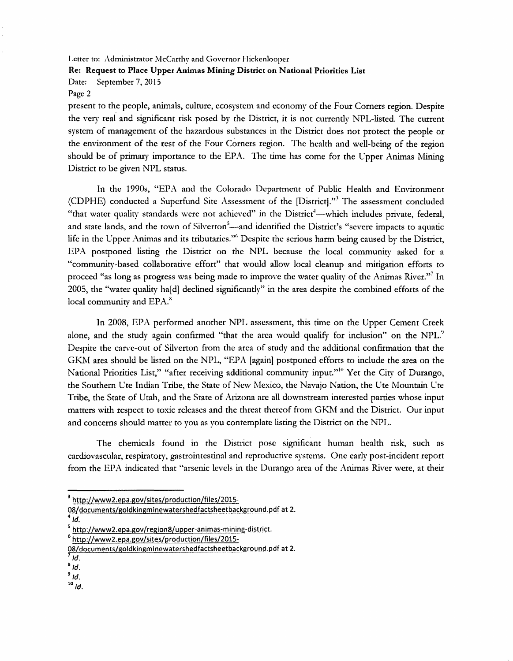Letter to: Administrator McCarthy and Governor Hickenlooper

#### Re: Request to Place Upper Animas Mining District on National Priorities List

Date: September 7, 2015

#### Page 2

present to the people, animals, culture, ecosystem and economy of the Four Corners region. Despite the very real and significant risk posed by the District, it is not currently NPL-listcd. The current system of management of the hazardous substances in the District does not protect the people or the environment of the rest of the Four Corners region. The health and well-being of the region should be of primary importance to the EPA. The time has come for the Upper Animas Mining District to be given NPL status.

In the 1990s, "EPA and the Colorado Department of Public Health and Environment (CDPHE) conducted a Supcrfund Site Assessment of the [District)."·' The assessment concluded "that water quality standards were not achieved" in the District<sup>1</sup>-which includes private, federal, and state lands, and the town of Silverton<sup>5</sup>—and identified the District's "severe impacts to aquatic life in the Upper Animas and its tributaries."<sup>6</sup> Despite the serious harm being caused by the District, EPA postponed listing the District on the NPL because the local community asked for a "community-based collaborative effort" that would allow local cleanup and mitigation efforts to proceed "as long as progress was being made to improve the water quality of the Animas River."<sup>7</sup> In 2005, the "water quality ha[d] declined significantly" in the area despite the combined efforts of the local community and EPA.<sup>8</sup>

In 2008, EPA performed another NPL assessment, this time on the Upper Cement Creek alone, and the study again confirmed "that the area would qualify for inclusion" on the NPL." Despite the carve-out of Silverton from the area of study and the additional confirmation that the GKM area should be listed on the NPL, "EPA [again] postponed efforts to include the area on the National Priorities List," "after receiving additional community input."<sup>10</sup> Yet the City of Durango, the Southern Ute Indian Tribe, the State of New Mexico, the Navajo Nation, the Ute Mountain Ute Tribe, the State of Utah, and the State of Arizona are all downstream interested parties whose input matters with respect to toxic releases and the threat thereof from GKM and the District. Our input and concerns should matter to you as you contemplate listing the District on the NPL.

The chemicals found in the District pose significant human health risk, such as cardiovascular, respiratory, gastrointestinal and reproductive systems. One early post-incident report from the EPA indicated that "arsenic levels in the Durango area of the Animas River were, at their

 $10$  Id.

<sup>&</sup>lt;sup>3</sup> http://www2.epa.gov/sites/production/files/2015-

<sup>08/</sup>documents/goldkingminewatershedfactsheetbackground.pdf at 2.  $4/d$ .

 $^{5}$  http://www2.epa.gov/region8/upper-animas-mining-district.

<sup>&</sup>lt;sup>6</sup> http://www2.epa.gov/sites/production/files/2015

<sup>08/</sup>documents/goldkingminewatershedfactsheetbackground.pdf at 2.  $\frac{7}{1}$  Id.

 $8/d$ .

 $9$  Id.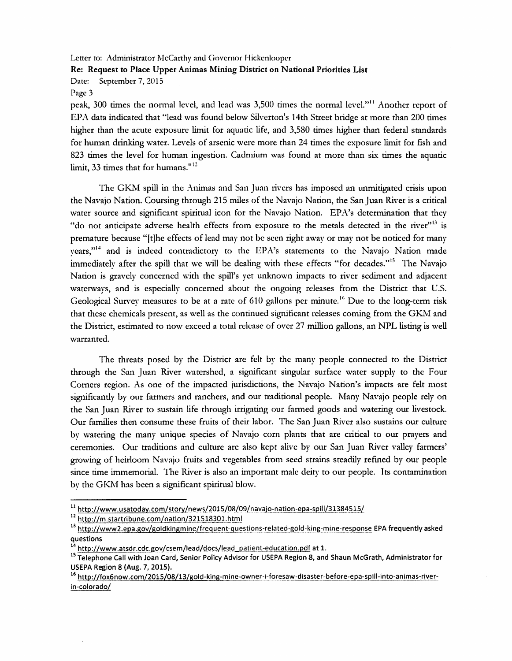Letter to: Administrator McCarthy and Governor Hickenlooper

#### Re: Request to Place Upper Animas Mining District on National Priorities List

Date: September 7, 2015

#### Page 3

peak, 300 times the normal level, and lead was 3,500 times the normal level."<sup>11</sup> Another report of EPA data indicated that "lead was found below Silverton's 14th Street bridge at more than 200 times higher than the acute exposure limit for aquatic life, and 3,580 times higher than federal standards for human drinking water. Levels of arsenic were more than 24 times the exposure limit for fish and 823 times the level for human ingestion. Cadmium was found at more than six times the aquatic limit, 33 times that for humans."<sup>12</sup>

The GK.M spill in the Animas and San Juan rivers has imposed an unmitigated crisis upon the Navajo Nation. Coursing through 215 miles of the Navajo Nation, the San Juan River is a critical water source and significant spiritual icon for the Navajo Nation. EPA's determination that they "do not anticipate adverse health effects from exposure to the metals detected in the river"<sup>13</sup> is premature because "[t]he effects of lead may not be seen right away or may not be noticed for many years," $14$  and is indeed contradictory to the EPA's statements to the Navajo Nation made immediately after the spill that we will be dealing with these effects "for decades."<sup>15</sup> The Navajo Nation is gravely concerned with the spill's yet unknown impacts to river sediment and adjacent waterways, and is especially concerned about the ongoing releases from the District that U.S. Geological Survey measures to be at a rate of 610 gallons per minute.<sup>16</sup> Due to the long-term risk that these chemicals present, as well as the continued significant releases coming from the GKM and the District, estimated to now exceed a total release of over 27 million gallons, an NPL listing is well warranted.

The threats posed by the District are felt by the many people connected to the District through the San Juan River watershed, a significant singular surface water supply to the Four Comers region. As one of the impacted jurisdictions, the Navajo Nation's impacts are felt most significantly by our farmers and ranchers, and our traditional people. Many Navajo people rely on the San Juan River to sustain life through irrigating our fanned goods and watering our livestock. Our families then consume these fruits of their labor. The San Juan River also sustains our culture by watering the many unique species of Navajo corn plants that are critical to our prayers and ceremonies. Our traditions and culture are also kept alive by our San Juan River valley farmers' growing of heirloom Navajo fruits and vegetables from seed strains steadily refined by our people since time immemorial. The River is also an important male deity to our people. Its contamination by the GKM has been a significant spiritual blow.

 $^{11}$  http://www.usatoday.com/story/news/2015/08/09/navajo-nation-epa-spill/31384515/

 $12 ~$ http://m.startribune.com/nation/321518301.html

<sup>&</sup>lt;sup>13</sup> http://www2.epa.gov/goldkingmine/frequent-questions-related-gold-king-mine-response EPA frequently asked questions

<sup>&</sup>lt;sup>14</sup> http://www.atsdr.cdc.gov/csem/lead/docs/lead\_patient-education.pdf at 1.

<sup>15</sup> Telephone Call with Joan Card, Senior Policy Advisor for USEPA Region 8, and Shaun McGrath, Administrator for USEPA Region 8 (Aug. 7, 2015).

<sup>&</sup>lt;sup>16</sup> http://fox6now.com/2015/08/13/gold-king-mine-owner-i-foresaw-disaster-before-epa-spill-into-animas-riverin-colorado/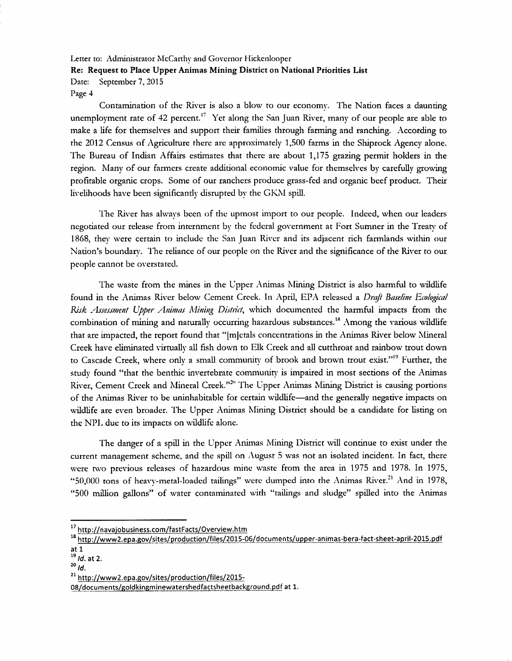Letter to: Administrator McCarthy and Governor Hickenlooper Re: Request to Place Upper Animas Mining District on National Priorities List Date: September 7, 2015

Page 4

Contamination of the River is also a blow to our economy. The Nation faces a daunting unemployment rate of 42 percent.<sup> $17$ </sup> Yet along the San Juan River, many of our people are able to make a life for themselves and support their families through farming and ranching. According to the 2012 Census of Agriculture there arc approximately 1,500 farms in the Shiprock Agency alone. 1be Bureau of Indian Affairs estimates that there are about 1,175 grazing permit holders in the region. Many of our farmers create additional economic value for themselves by carefully growing profitable organic crops. Some of our ranchers produce grass-fed and organic beef product. Their livelihoods have been significantly disrupted by the GKM spill.

The River has always been of the upmost import to our people. Indeed, when our leaders negotiated our release from internment by the federal government at Fort Sumner in the Treaty of 1868, they were certain to include the San Juan River and its adjacent rich farmlands within our Nation's boundary. The reliance of our people on the River and the significance of the River to our people cannot be overstated.

The waste from the mines in the Upper Animas Mining District is also harmful to wildlife found in the Animas River below Cement Creek. In April, EPA released a *Draft Baseline Ecological Risk Assessment Upper Animas Mining District*, which documented the harmful impacts from the combination of mining and naturally occurring hazardous substances.<sup>18</sup> Among the various wildlife that are impacted, the report found that "|m]etals concentrations in the Animas River below Mineral Creek have eliminated virtually all fish down to Elk Creek and all cutthroat and rainbow trout down to Cascade Creek, where only a small community of brook and brown trout exist."<sup>19</sup> Further, the study found "that the benrhic invertebrate community is impaired in most sections of the Animas River, Cement Creek and Mineral Creek."<sup>20</sup> The Upper Animas Mining District is causing portions of the Animas River to be uninhabitable for certain wildlife-and the generally negative impacts on wildlife are even broader. The Upper Animas Mining District should be a candidate for listing on the NPL due to its impacts on wildlife alone.

The danger of a spill in the Upper Animas Mining District will continue to exist under the current management scheme, and the spill on August 5 was not an isolated incident. In fact, there were two previous releases of hazardous mine waste from the area in 1975 and 1978. In 1975, "50,000 tons of heavy-metal-loaded tailings" were dumped into the Animas River.<sup>21</sup> And in 1978, "500 million gallons" of water contaminated \vith "tailings and sludge" spilled into the Animas

<sup>17</sup> http://navajobusiness.com/fastFacts/Overview.htm

<sup>18</sup> http://www2.epa.gov/sites/production/files/2015-06/documents/upper-animas-bera-fact-sheet-april-2015.pdf

at 1<br> $\frac{19}{19}$  *ld.* at 2.

 $^{20}$  *Id.* 

<sup>&</sup>lt;sup>21</sup> http://www2.epa.gov/sites/production/files/2015-

<sup>08/</sup>documents/goldking minewatershedfactsheet background.pdf at 1.